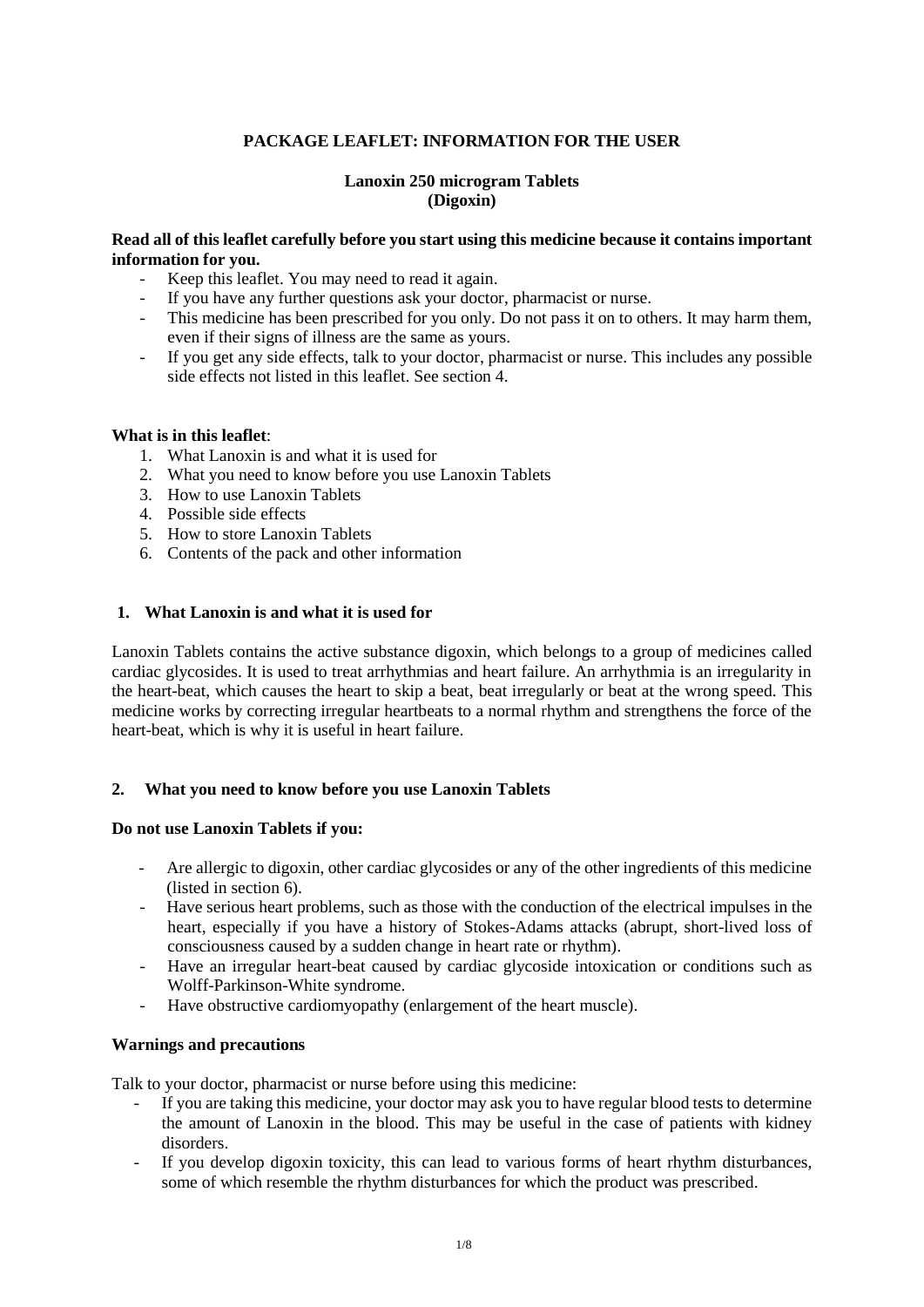# **PACKAGE LEAFLET: INFORMATION FOR THE USER**

## **Lanoxin 250 microgram Tablets (Digoxin)**

## **Read all of this leaflet carefully before you start using this medicine because it contains important information for you.**

- Keep this leaflet. You may need to read it again.
- If you have any further questions ask your doctor, pharmacist or nurse.
- This medicine has been prescribed for you only. Do not pass it on to others. It may harm them, even if their signs of illness are the same as yours.
- If you get any side effects, talk to your doctor, pharmacist or nurse. This includes any possible side effects not listed in this leaflet. See section 4.

### **What is in this leaflet**:

- 1. What Lanoxin is and what it is used for
- 2. What you need to know before you use Lanoxin Tablets
- 3. How to use Lanoxin Tablets
- 4. Possible side effects
- 5. How to store Lanoxin Tablets
- 6. Contents of the pack and other information

## **1. What Lanoxin is and what it is used for**

Lanoxin Tablets contains the active substance digoxin, which belongs to a group of medicines called cardiac glycosides. It is used to treat arrhythmias and heart failure. An arrhythmia is an irregularity in the heart-beat, which causes the heart to skip a beat, beat irregularly or beat at the wrong speed. This medicine works by correcting irregular heartbeats to a normal rhythm and strengthens the force of the heart-beat, which is why it is useful in heart failure.

### **2. What you need to know before you use Lanoxin Tablets**

### **Do not use Lanoxin Tablets if you:**

- Are allergic to digoxin, other cardiac glycosides or any of the other ingredients of this medicine (listed in section 6).
- Have serious heart problems, such as those with the conduction of the electrical impulses in the heart, especially if you have a history of Stokes-Adams attacks (abrupt, short-lived loss of consciousness caused by a sudden change in heart rate or rhythm).
- Have an irregular heart-beat caused by cardiac glycoside intoxication or conditions such as Wolff-Parkinson-White syndrome.
- Have obstructive cardiomyopathy (enlargement of the heart muscle).

### **Warnings and precautions**

Talk to your doctor, pharmacist or nurse before using this medicine:

- If you are taking this medicine, your doctor may ask you to have regular blood tests to determine the amount of Lanoxin in the blood. This may be useful in the case of patients with kidney disorders.
- If you develop digoxin toxicity, this can lead to various forms of heart rhythm disturbances, some of which resemble the rhythm disturbances for which the product was prescribed.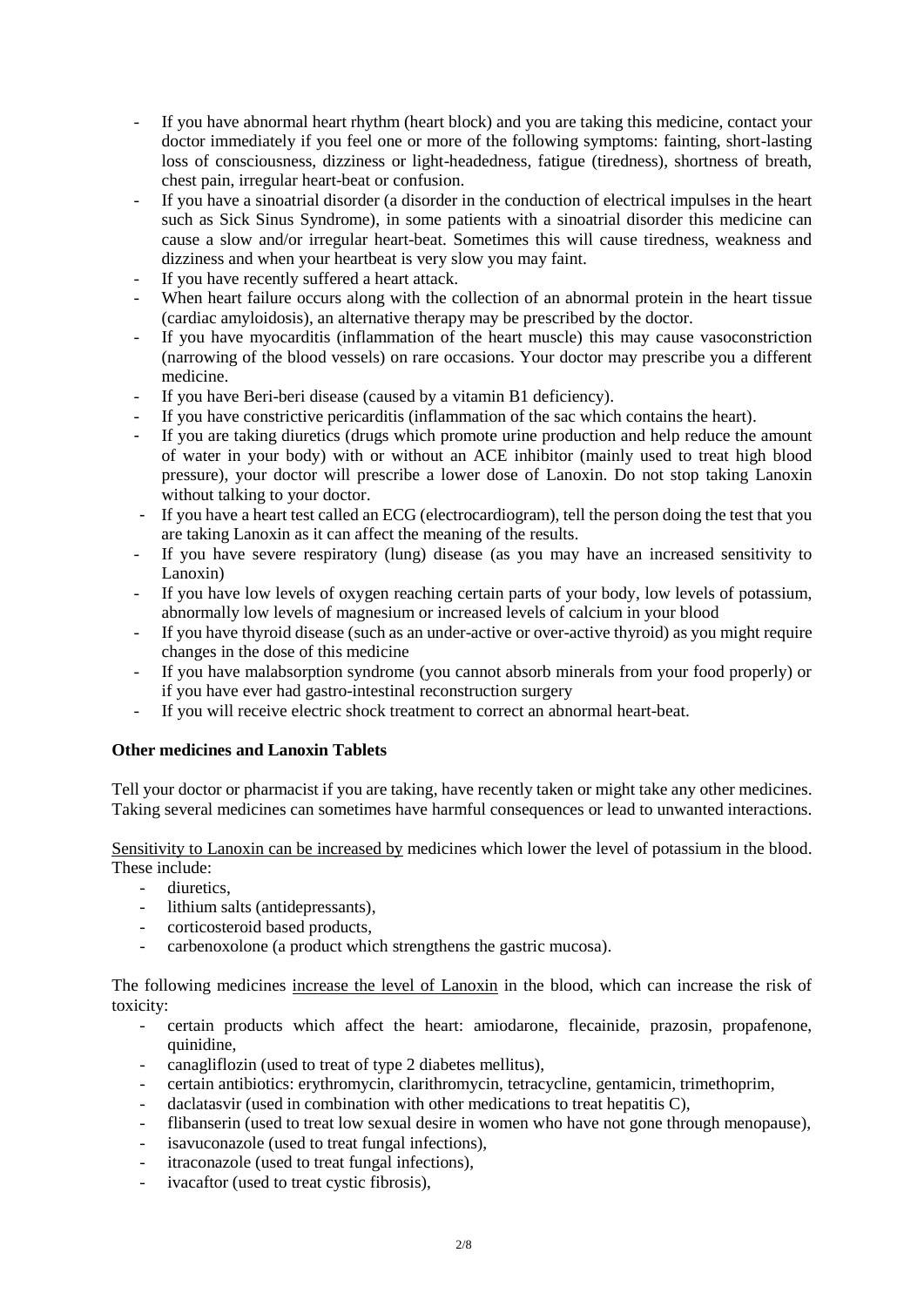- If you have abnormal heart rhythm (heart block) and you are taking this medicine, contact your doctor immediately if you feel one or more of the following symptoms: fainting, short-lasting loss of consciousness, dizziness or light-headedness, fatigue (tiredness), shortness of breath, chest pain, irregular heart-beat or confusion.
- If you have a sinoatrial disorder (a disorder in the conduction of electrical impulses in the heart such as Sick Sinus Syndrome), in some patients with a sinoatrial disorder this medicine can cause a slow and/or irregular heart-beat. Sometimes this will cause tiredness, weakness and dizziness and when your heartbeat is very slow you may faint.
- If you have recently suffered a heart attack.
- When heart failure occurs along with the collection of an abnormal protein in the heart tissue (cardiac amyloidosis), an alternative therapy may be prescribed by the doctor.
- If you have myocarditis (inflammation of the heart muscle) this may cause vasoconstriction (narrowing of the blood vessels) on rare occasions. Your doctor may prescribe you a different medicine.
- If you have Beri-beri disease (caused by a vitamin B1 deficiency).
- If you have constrictive pericarditis (inflammation of the sac which contains the heart).
- If you are taking diuretics (drugs which promote urine production and help reduce the amount of water in your body) with or without an ACE inhibitor (mainly used to treat high blood pressure), your doctor will prescribe a lower dose of Lanoxin. Do not stop taking Lanoxin without talking to your doctor.
- If you have a heart test called an ECG (electrocardiogram), tell the person doing the test that you are taking Lanoxin as it can affect the meaning of the results.
- If you have severe respiratory (lung) disease (as you may have an increased sensitivity to Lanoxin)
- If you have low levels of oxygen reaching certain parts of your body, low levels of potassium, abnormally low levels of magnesium or increased levels of calcium in your blood
- If you have thyroid disease (such as an under-active or over-active thyroid) as you might require changes in the dose of this medicine
- If you have malabsorption syndrome (you cannot absorb minerals from your food properly) or if you have ever had gastro-intestinal reconstruction surgery
- If you will receive electric shock treatment to correct an abnormal heart-beat.

# **Other medicines and Lanoxin Tablets**

Tell your doctor or pharmacist if you are taking, have recently taken or might take any other medicines. Taking several medicines can sometimes have harmful consequences or lead to unwanted interactions.

Sensitivity to Lanoxin can be increased by medicines which lower the level of potassium in the blood. These include:

- diuretics,
- lithium salts (antidepressants),
- corticosteroid based products,
- carbenoxolone (a product which strengthens the gastric mucosa).

The following medicines increase the level of Lanoxin in the blood, which can increase the risk of toxicity:

- certain products which affect the heart: amiodarone, flecainide, prazosin, propafenone, quinidine,
- canagliflozin (used to treat of type 2 diabetes mellitus),
- certain antibiotics: erythromycin, clarithromycin, tetracycline, gentamicin, trimethoprim,
- daclatasvir (used in combination with other medications to treat hepatitis C),
- flibanserin (used to treat low sexual desire in women who have not gone through menopause),
- isavuconazole (used to treat fungal infections),
- itraconazole (used to treat fungal infections),
- ivacaftor (used to treat cystic fibrosis),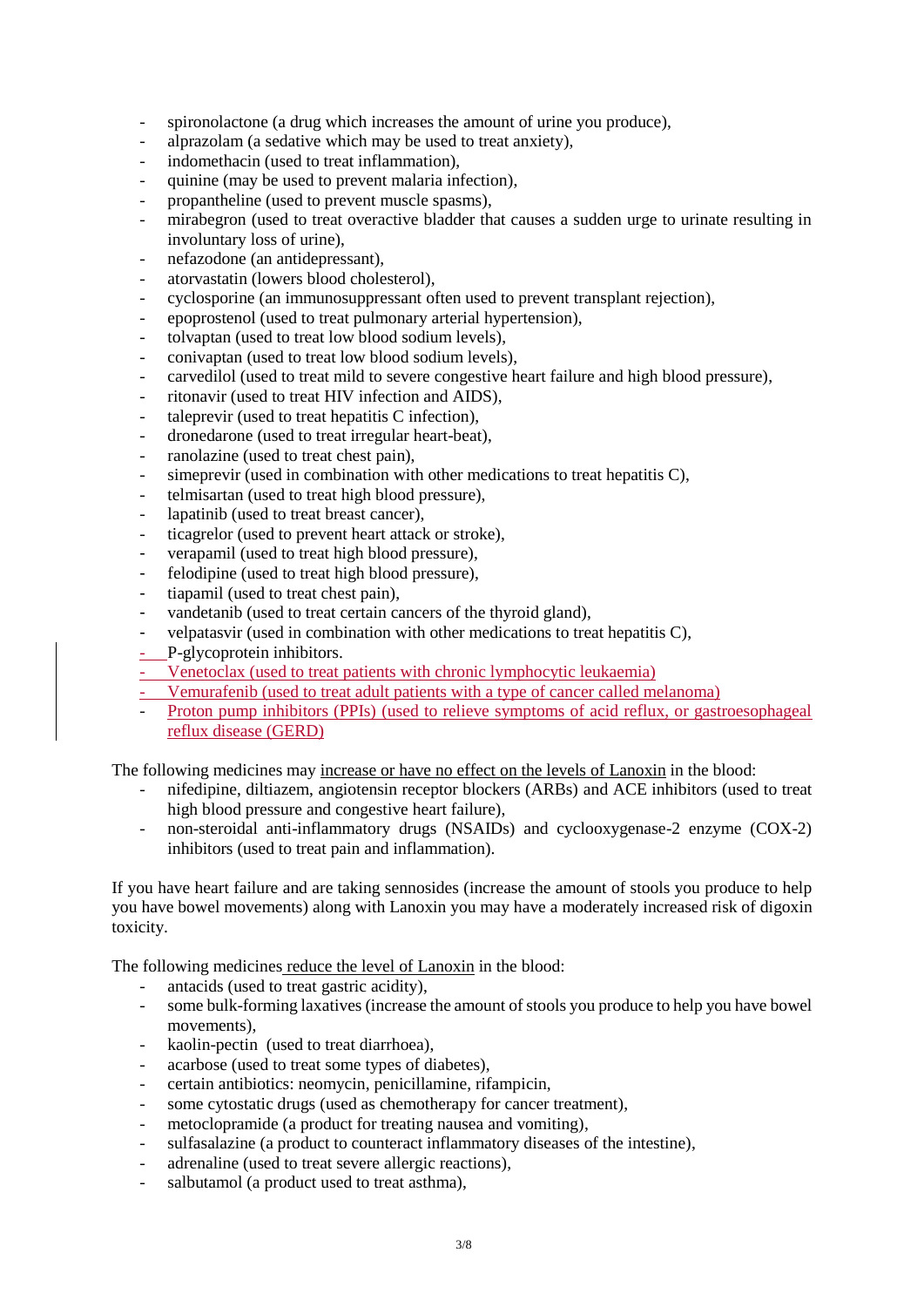- spironolactone (a drug which increases the amount of urine you produce),
- alprazolam (a sedative which may be used to treat anxiety),
- indomethacin (used to treat inflammation),
- quinine (may be used to prevent malaria infection),
- propantheline (used to prevent muscle spasms),
- mirabegron (used to treat overactive bladder that causes a sudden urge to urinate resulting in involuntary loss of urine),
- nefazodone (an antidepressant),
- atorvastatin (lowers blood cholesterol),
- cyclosporine (an immunosuppressant often used to prevent transplant rejection),
- epoprostenol (used to treat pulmonary arterial hypertension),
- tolvaptan (used to treat low blood sodium levels),
- conivaptan (used to treat low blood sodium levels),
- carvedilol (used to treat mild to severe congestive heart failure and high blood pressure),
- ritonavir (used to treat HIV infection and AIDS),
- taleprevir (used to treat hepatitis C infection),
- dronedarone (used to treat irregular heart-beat),
- ranolazine (used to treat chest pain),
- simeprevir (used in combination with other medications to treat hepatitis C),
- telmisartan (used to treat high blood pressure),
- lapatinib (used to treat breast cancer),
- ticagrelor (used to prevent heart attack or stroke),
- verapamil (used to treat high blood pressure),
- felodipine (used to treat high blood pressure),
- tiapamil (used to treat chest pain),
- vandetanib (used to treat certain cancers of the thyroid gland),
- velpatasvir (used in combination with other medications to treat hepatitis C),
- P-glycoprotein inhibitors.
- Venetoclax (used to treat patients with chronic lymphocytic leukaemia)
- Vemurafenib (used to treat adult patients with a type of cancer called melanoma)
- Proton pump inhibitors (PPIs) (used to relieve symptoms of acid reflux, or gastroesophageal reflux disease (GERD)

The following medicines may increase or have no effect on the levels of Lanoxin in the blood:

- nifedipine, diltiazem, angiotensin receptor blockers (ARBs) and ACE inhibitors (used to treat high blood pressure and congestive heart failure),
- non-steroidal anti-inflammatory drugs (NSAIDs) and cyclooxygenase-2 enzyme (COX-2) inhibitors (used to treat pain and inflammation).

If you have heart failure and are taking sennosides (increase the amount of stools you produce to help you have bowel movements) along with Lanoxin you may have a moderately increased risk of digoxin toxicity.

The following medicines reduce the level of Lanoxin in the blood:

- antacids (used to treat gastric acidity),
- some bulk-forming laxatives (increase the amount of stools you produce to help you have bowel movements),
- kaolin-pectin (used to treat diarrhoea),
- acarbose (used to treat some types of diabetes),
- certain antibiotics: neomycin, penicillamine, rifampicin,
- some cytostatic drugs (used as chemotherapy for cancer treatment),
- metoclopramide (a product for treating nausea and vomiting).
- sulfasalazine (a product to counteract inflammatory diseases of the intestine),
- adrenaline (used to treat severe allergic reactions),
- salbutamol (a product used to treat asthma),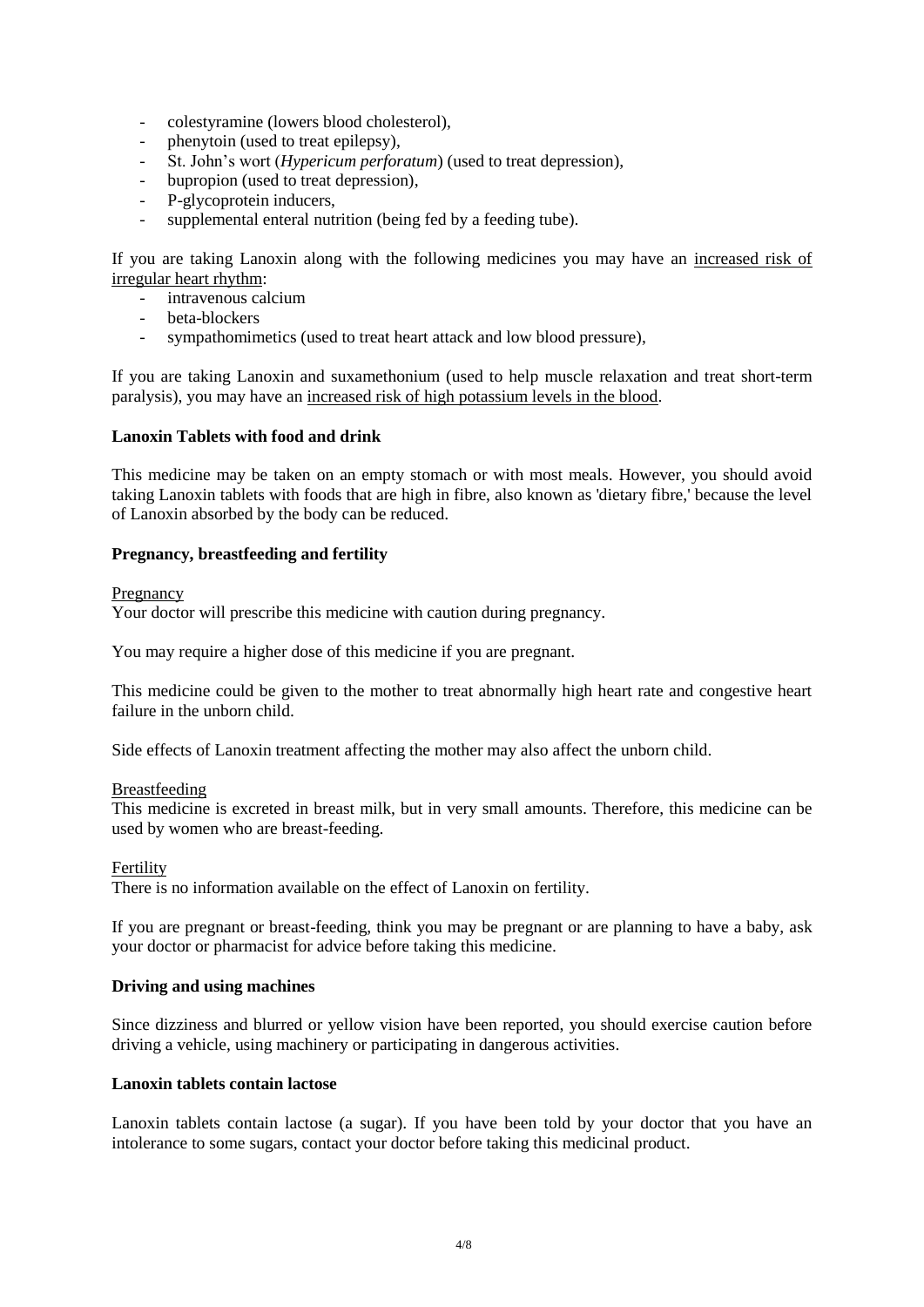- colestyramine (lowers blood cholesterol),
- phenytoin (used to treat epilepsy),
- St. John's wort (*Hypericum perforatum*) (used to treat depression),
- bupropion (used to treat depression),
- P-glycoprotein inducers,
- supplemental enteral nutrition (being fed by a feeding tube).

If you are taking Lanoxin along with the following medicines you may have an increased risk of irregular heart rhythm:

- intravenous calcium
- beta-blockers
- sympathomimetics (used to treat heart attack and low blood pressure),

If you are taking Lanoxin and suxamethonium (used to help muscle relaxation and treat short-term paralysis), you may have an increased risk of high potassium levels in the blood.

### **Lanoxin Tablets with food and drink**

This medicine may be taken on an empty stomach or with most meals. However, you should avoid taking Lanoxin tablets with foods that are high in fibre, also known as 'dietary fibre,' because the level of Lanoxin absorbed by the body can be reduced.

### **Pregnancy, breastfeeding and fertility**

#### Pregnancy

Your doctor will prescribe this medicine with caution during pregnancy.

You may require a higher dose of this medicine if you are pregnant.

This medicine could be given to the mother to treat abnormally high heart rate and congestive heart failure in the unborn child.

Side effects of Lanoxin treatment affecting the mother may also affect the unborn child.

### Breastfeeding

This medicine is excreted in breast milk, but in very small amounts. Therefore, this medicine can be used by women who are breast-feeding.

### Fertility

There is no information available on the effect of Lanoxin on fertility.

If you are pregnant or breast-feeding, think you may be pregnant or are planning to have a baby, ask your doctor or pharmacist for advice before taking this medicine.

### **Driving and using machines**

Since dizziness and blurred or yellow vision have been reported, you should exercise caution before driving a vehicle, using machinery or participating in dangerous activities.

### **Lanoxin tablets contain lactose**

Lanoxin tablets contain lactose (a sugar). If you have been told by your doctor that you have an intolerance to some sugars, contact your doctor before taking this medicinal product.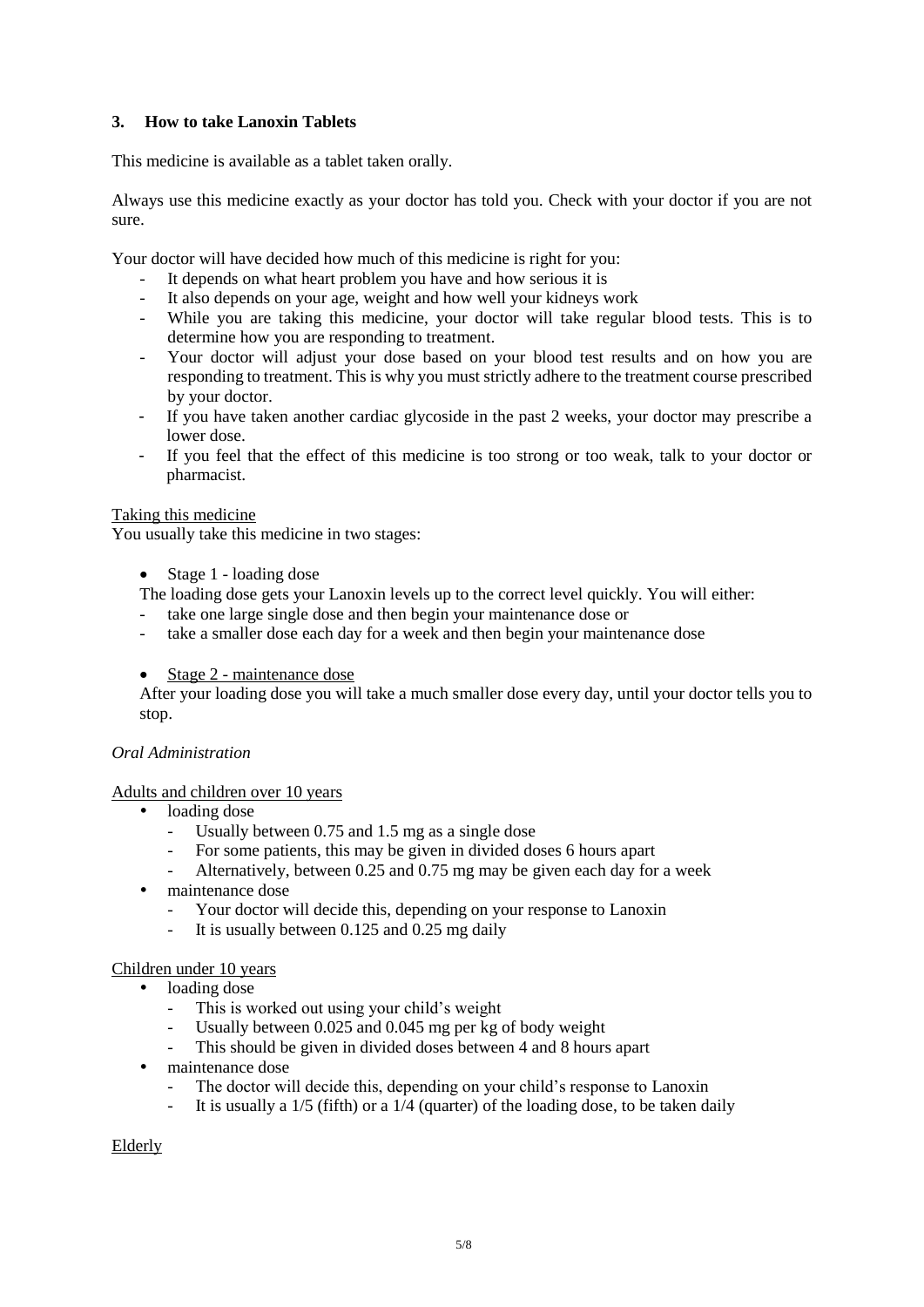# **3. How to take Lanoxin Tablets**

This medicine is available as a tablet taken orally.

Always use this medicine exactly as your doctor has told you. Check with your doctor if you are not sure.

Your doctor will have decided how much of this medicine is right for you:

- It depends on what heart problem you have and how serious it is
- It also depends on your age, weight and how well your kidneys work
- While you are taking this medicine, your doctor will take regular blood tests. This is to determine how you are responding to treatment.
- Your doctor will adjust your dose based on your blood test results and on how you are responding to treatment. This is why you must strictly adhere to the treatment course prescribed by your doctor.
- If you have taken another cardiac glycoside in the past 2 weeks, your doctor may prescribe a lower dose.
- If you feel that the effect of this medicine is too strong or too weak, talk to your doctor or pharmacist.

## Taking this medicine

You usually take this medicine in two stages:

Stage 1 - loading dose

The loading dose gets your Lanoxin levels up to the correct level quickly. You will either:

- take one large single dose and then begin your maintenance dose or
- take a smaller dose each day for a week and then begin your maintenance dose
- Stage 2 maintenance dose

After your loading dose you will take a much smaller dose every day, until your doctor tells you to stop.

### *Oral Administration*

### Adults and children over 10 years

- loading dose
	- Usually between 0.75 and 1.5 mg as a single dose
	- For some patients, this may be given in divided doses 6 hours apart
	- Alternatively, between 0.25 and 0.75 mg may be given each day for a week
- maintenance dose
	- Your doctor will decide this, depending on your response to Lanoxin
	- It is usually between  $0.125$  and  $0.25$  mg daily

### Children under 10 years

- loading dose
	- This is worked out using your child's weight
	- Usually between 0.025 and 0.045 mg per kg of body weight
	- This should be given in divided doses between 4 and 8 hours apart
- maintenance dose
	- The doctor will decide this, depending on your child's response to Lanoxin
	- It is usually a  $1/5$  (fifth) or a  $1/4$  (quarter) of the loading dose, to be taken daily

### Elderly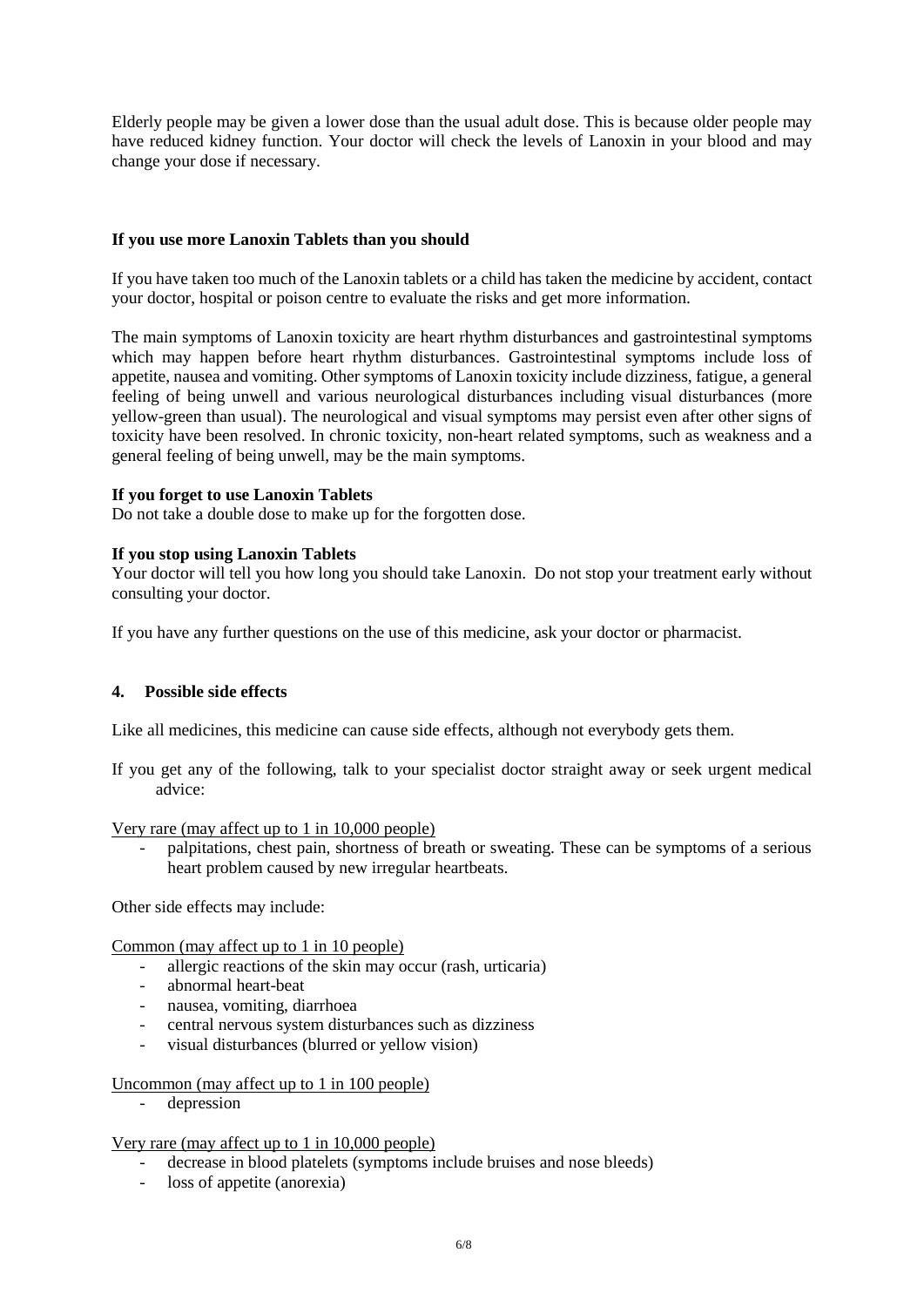Elderly people may be given a lower dose than the usual adult dose. This is because older people may have reduced kidney function. Your doctor will check the levels of Lanoxin in your blood and may change your dose if necessary.

### **If you use more Lanoxin Tablets than you should**

If you have taken too much of the Lanoxin tablets or a child has taken the medicine by accident, contact your doctor, hospital or poison centre to evaluate the risks and get more information.

The main symptoms of Lanoxin toxicity are heart rhythm disturbances and gastrointestinal symptoms which may happen before heart rhythm disturbances. Gastrointestinal symptoms include loss of appetite, nausea and vomiting. Other symptoms of Lanoxin toxicity include dizziness, fatigue, a general feeling of being unwell and various neurological disturbances including visual disturbances (more yellow-green than usual). The neurological and visual symptoms may persist even after other signs of toxicity have been resolved. In chronic toxicity, non-heart related symptoms, such as weakness and a general feeling of being unwell, may be the main symptoms.

#### **If you forget to use Lanoxin Tablets**

Do not take a double dose to make up for the forgotten dose.

#### **If you stop using Lanoxin Tablets**

Your doctor will tell you how long you should take Lanoxin. Do not stop your treatment early without consulting your doctor.

If you have any further questions on the use of this medicine, ask your doctor or pharmacist.

### **4. Possible side effects**

Like all medicines, this medicine can cause side effects, although not everybody gets them.

If you get any of the following, talk to your specialist doctor straight away or seek urgent medical advice:

Very rare (may affect up to 1 in 10,000 people)

- palpitations, chest pain, shortness of breath or sweating. These can be symptoms of a serious heart problem caused by new irregular heartbeats.

Other side effects may include:

Common (may affect up to 1 in 10 people)

- allergic reactions of the skin may occur (rash, urticaria)
- abnormal heart-beat
- nausea, vomiting, diarrhoea
- central nervous system disturbances such as dizziness
- visual disturbances (blurred or yellow vision)

#### Uncommon (may affect up to 1 in 100 people)

depression

### Very rare (may affect up to 1 in 10,000 people)

- decrease in blood platelets (symptoms include bruises and nose bleeds)
- loss of appetite (anorexia)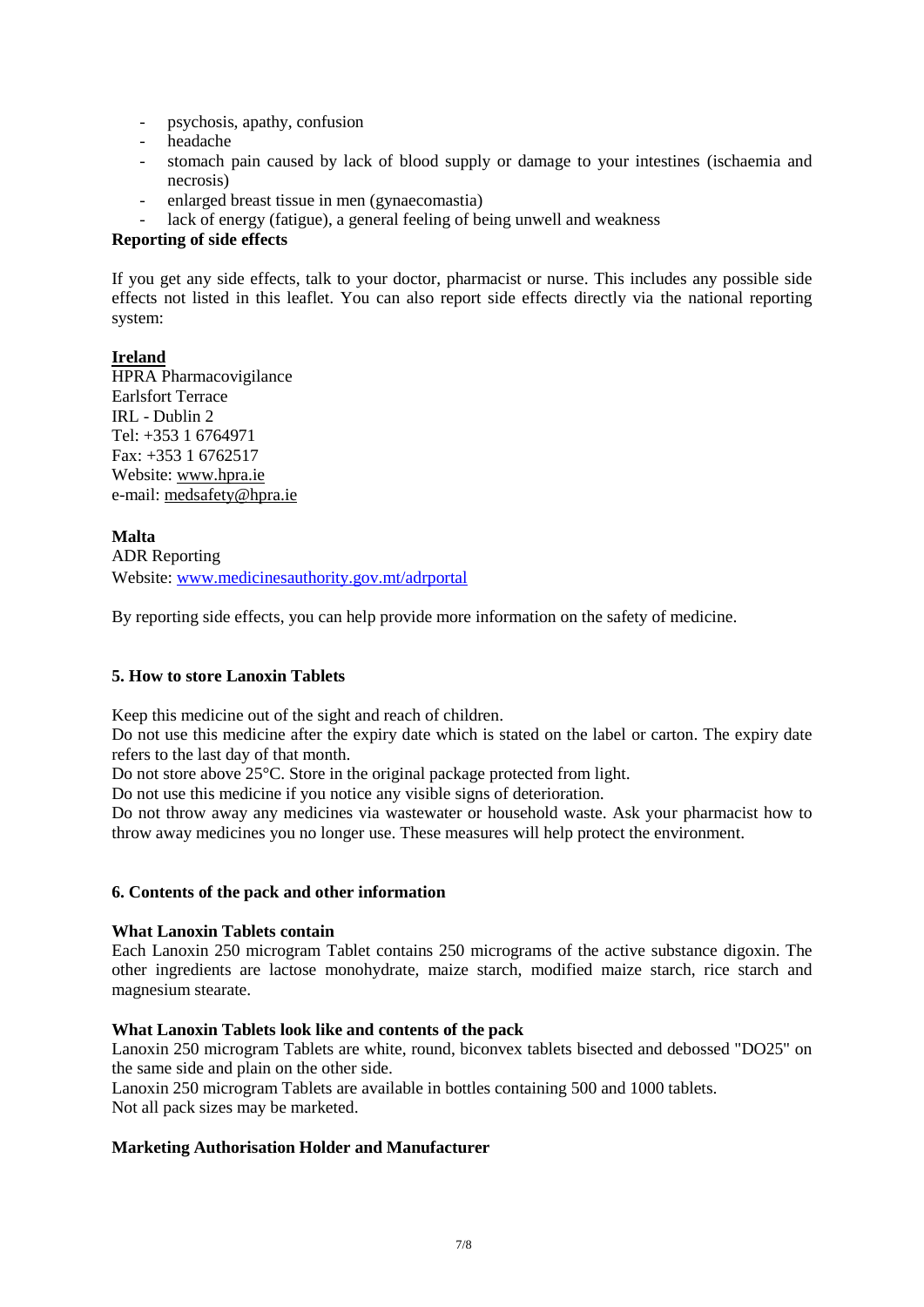- psychosis, apathy, confusion
- headache
- stomach pain caused by lack of blood supply or damage to your intestines (ischaemia and necrosis)
- enlarged breast tissue in men (gynaecomastia)
- lack of energy (fatigue), a general feeling of being unwell and weakness

## **Reporting of side effects**

If you get any side effects, talk to your doctor, pharmacist or nurse. This includes any possible side effects not listed in this leaflet. You can also report side effects directly via the national reporting system:

# **Ireland**

HPRA Pharmacovigilance Earlsfort Terrace IRL - Dublin 2 Tel: +353 1 6764971 Fax: +353 1 6762517 Website: [www.hpra.ie](http://www.hpra.ie/) e-mail: [medsafety@hpra.ie](mailto:medsafety@hpra.ie)

# **Malta**

ADR Reporting Website: [www.medicinesauthority.gov.mt/adrportal](http://www.medicinesauthority.gov.mt/adrportal)

By reporting side effects, you can help provide more information on the safety of medicine.

# **5. How to store Lanoxin Tablets**

Keep this medicine out of the sight and reach of children.

Do not use this medicine after the expiry date which is stated on the label or carton. The expiry date refers to the last day of that month.

Do not store above 25°C. Store in the original package protected from light.

Do not use this medicine if you notice any visible signs of deterioration.

Do not throw away any medicines via wastewater or household waste. Ask your pharmacist how to throw away medicines you no longer use. These measures will help protect the environment.

### **6. Contents of the pack and other information**

### **What Lanoxin Tablets contain**

Each Lanoxin 250 microgram Tablet contains 250 micrograms of the active substance digoxin. The other ingredients are lactose monohydrate, maize starch, modified maize starch, rice starch and magnesium stearate.

## **What Lanoxin Tablets look like and contents of the pack**

Lanoxin 250 microgram Tablets are white, round, biconvex tablets bisected and debossed "DO25" on the same side and plain on the other side.

Lanoxin 250 microgram Tablets are available in bottles containing 500 and 1000 tablets. Not all pack sizes may be marketed.

### **Marketing Authorisation Holder and Manufacturer**